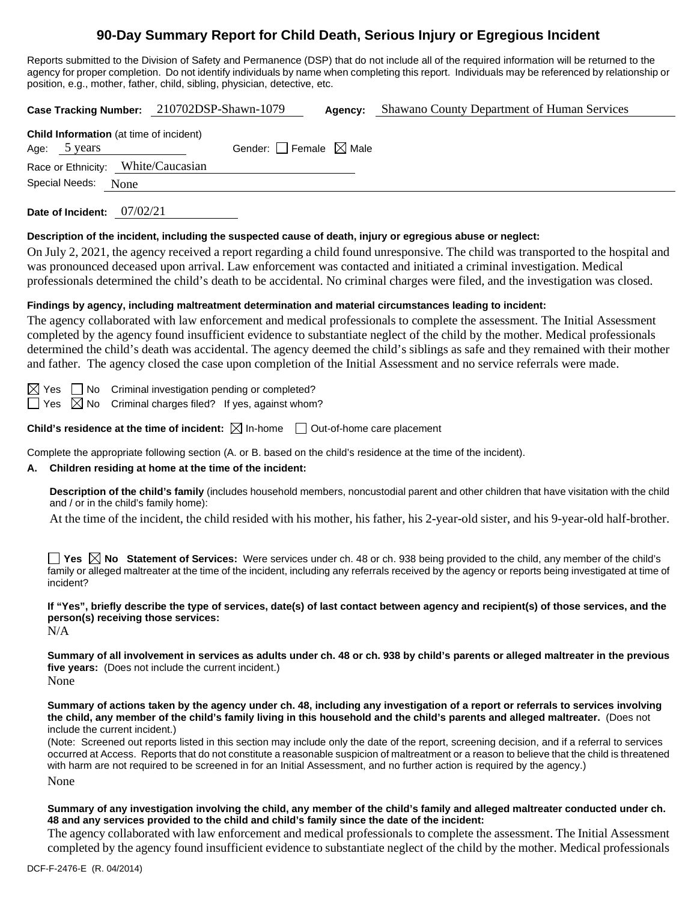# **90-Day Summary Report for Child Death, Serious Injury or Egregious Incident**

Reports submitted to the Division of Safety and Permanence (DSP) that do not include all of the required information will be returned to the agency for proper completion. Do not identify individuals by name when completing this report. Individuals may be referenced by relationship or position, e.g., mother, father, child, sibling, physician, detective, etc.

| 210702DSP-Shawn-1079<br>Shawano County Department of Human Services<br><b>Case Tracking Number:</b><br>Agency:                                                                                                                                                                                                                                                                                                                                                                                                                                                                                                                                                                                                                     |  |  |  |  |  |  |
|------------------------------------------------------------------------------------------------------------------------------------------------------------------------------------------------------------------------------------------------------------------------------------------------------------------------------------------------------------------------------------------------------------------------------------------------------------------------------------------------------------------------------------------------------------------------------------------------------------------------------------------------------------------------------------------------------------------------------------|--|--|--|--|--|--|
| Child Information (at time of incident)<br>Gender: $\Box$ Female $\boxtimes$ Male<br>Age: 5 years<br>Race or Ethnicity: White/Caucasian<br><b>Special Needs:</b><br>None                                                                                                                                                                                                                                                                                                                                                                                                                                                                                                                                                           |  |  |  |  |  |  |
| Date of Incident: 07/02/21                                                                                                                                                                                                                                                                                                                                                                                                                                                                                                                                                                                                                                                                                                         |  |  |  |  |  |  |
| Description of the incident, including the suspected cause of death, injury or egregious abuse or neglect:<br>On July 2, 2021, the agency received a report regarding a child found unresponsive. The child was transported to the hospital and<br>was pronounced deceased upon arrival. Law enforcement was contacted and initiated a criminal investigation. Medical<br>professionals determined the child's death to be accidental. No criminal charges were filed, and the investigation was closed.                                                                                                                                                                                                                           |  |  |  |  |  |  |
| Findings by agency, including maltreatment determination and material circumstances leading to incident:<br>The agency collaborated with law enforcement and medical professionals to complete the assessment. The Initial Assessment<br>completed by the agency found insufficient evidence to substantiate neglect of the child by the mother. Medical professionals<br>determined the child's death was accidental. The agency deemed the child's siblings as safe and they remained with their mother<br>and father. The agency closed the case upon completion of the Initial Assessment and no service referrals were made.                                                                                                  |  |  |  |  |  |  |
| Criminal investigation pending or completed?<br>$\boxtimes$ Yes $\Box$ No<br>Criminal charges filed? If yes, against whom?<br>$\Box$ Yes $\,\boxtimes$ No                                                                                                                                                                                                                                                                                                                                                                                                                                                                                                                                                                          |  |  |  |  |  |  |
| Child's residence at the time of incident: $\boxtimes$ In-home $\Box$ Out-of-home care placement                                                                                                                                                                                                                                                                                                                                                                                                                                                                                                                                                                                                                                   |  |  |  |  |  |  |
| Complete the appropriate following section (A. or B. based on the child's residence at the time of the incident).<br>Children residing at home at the time of the incident:<br>А.                                                                                                                                                                                                                                                                                                                                                                                                                                                                                                                                                  |  |  |  |  |  |  |
| Description of the child's family (includes household members, noncustodial parent and other children that have visitation with the child<br>and / or in the child's family home):                                                                                                                                                                                                                                                                                                                                                                                                                                                                                                                                                 |  |  |  |  |  |  |
| At the time of the incident, the child resided with his mother, his father, his 2-year-old sister, and his 9-year-old half-brother.                                                                                                                                                                                                                                                                                                                                                                                                                                                                                                                                                                                                |  |  |  |  |  |  |
| Yes $\boxtimes$ No Statement of Services: Were services under ch. 48 or ch. 938 being provided to the child, any member of the child's<br>family or alleged maltreater at the time of the incident, including any referrals received by the agency or reports being investigated at time of<br>incident?                                                                                                                                                                                                                                                                                                                                                                                                                           |  |  |  |  |  |  |
| If "Yes", briefly describe the type of services, date(s) of last contact between agency and recipient(s) of those services, and the<br>person(s) receiving those services:<br>N/A                                                                                                                                                                                                                                                                                                                                                                                                                                                                                                                                                  |  |  |  |  |  |  |
| Summary of all involvement in services as adults under ch. 48 or ch. 938 by child's parents or alleged maltreater in the previous<br>five years: (Does not include the current incident.)<br>None                                                                                                                                                                                                                                                                                                                                                                                                                                                                                                                                  |  |  |  |  |  |  |
| Summary of actions taken by the agency under ch. 48, including any investigation of a report or referrals to services involving<br>the child, any member of the child's family living in this household and the child's parents and alleged maltreater. (Does not<br>include the current incident.)<br>(Note: Screened out reports listed in this section may include only the date of the report, screening decision, and if a referral to services<br>occurred at Access. Reports that do not constitute a reasonable suspicion of maltreatment or a reason to believe that the child is threatened<br>with harm are not required to be screened in for an Initial Assessment, and no further action is required by the agency.) |  |  |  |  |  |  |
| None                                                                                                                                                                                                                                                                                                                                                                                                                                                                                                                                                                                                                                                                                                                               |  |  |  |  |  |  |
| Summary of any investigation involving the child, any member of the child's family and alleged maltreater conducted under ch.<br>48 and any services provided to the child and child's family since the date of the incident:                                                                                                                                                                                                                                                                                                                                                                                                                                                                                                      |  |  |  |  |  |  |

The agency collaborated with law enforcement and medical professionals to complete the assessment. The Initial Assessment completed by the agency found insufficient evidence to substantiate neglect of the child by the mother. Medical professionals